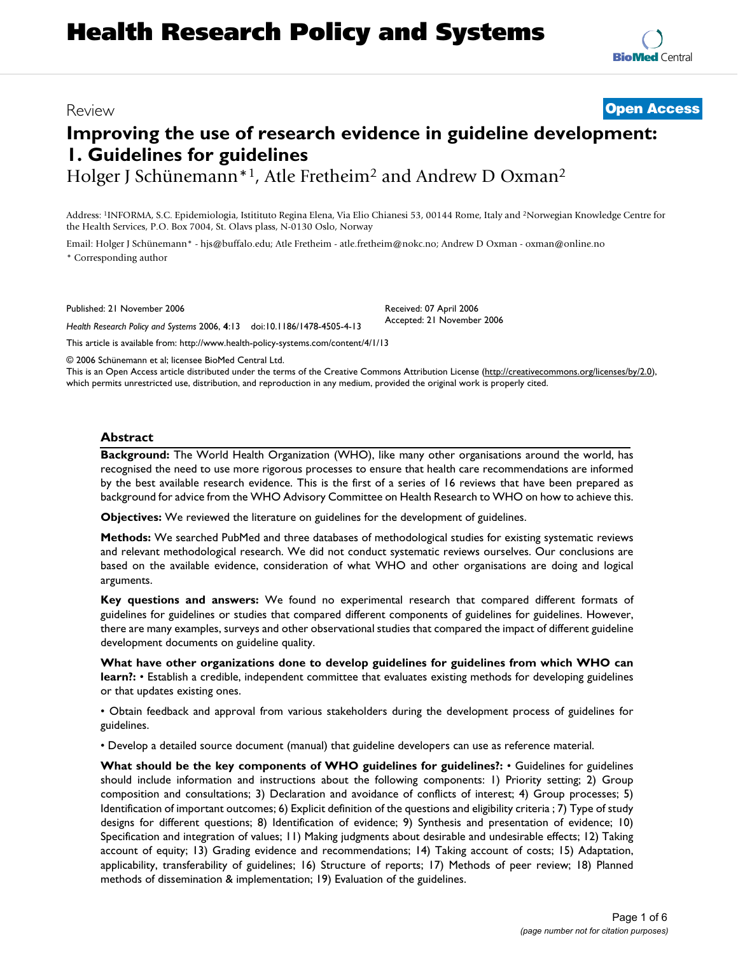## **Improving the use of research evidence in guideline development: 1. Guidelines for guidelines**

Holger J Schünemann<sup>\*1</sup>, Atle Fretheim<sup>2</sup> and Andrew D Oxman<sup>2</sup>

Address: 1INFORMA, S.C. Epidemiologia, Istitituto Regina Elena, Via Elio Chianesi 53, 00144 Rome, Italy and 2Norwegian Knowledge Centre for the Health Services, P.O. Box 7004, St. Olavs plass, N-0130 Oslo, Norway

Email: Holger J Schünemann\* - hjs@buffalo.edu; Atle Fretheim - atle.fretheim@nokc.no; Andrew D Oxman - oxman@online.no \* Corresponding author

Published: 21 November 2006

*Health Research Policy and Systems* 2006, **4**:13 doi:10.1186/1478-4505-4-13

[This article is available from: http://www.health-policy-systems.com/content/4/1/13](http://www.health-policy-systems.com/content/4/1/13)

© 2006 Schünemann et al; licensee BioMed Central Ltd.

This is an Open Access article distributed under the terms of the Creative Commons Attribution License [\(http://creativecommons.org/licenses/by/2.0\)](http://creativecommons.org/licenses/by/2.0), which permits unrestricted use, distribution, and reproduction in any medium, provided the original work is properly cited.

#### **Abstract**

**Background:** The World Health Organization (WHO), like many other organisations around the world, has recognised the need to use more rigorous processes to ensure that health care recommendations are informed by the best available research evidence. This is the first of a series of 16 reviews that have been prepared as background for advice from the WHO Advisory Committee on Health Research to WHO on how to achieve this.

**Objectives:** We reviewed the literature on guidelines for the development of guidelines.

**Methods:** We searched PubMed and three databases of methodological studies for existing systematic reviews and relevant methodological research. We did not conduct systematic reviews ourselves. Our conclusions are based on the available evidence, consideration of what WHO and other organisations are doing and logical arguments.

**Key questions and answers:** We found no experimental research that compared different formats of guidelines for guidelines or studies that compared different components of guidelines for guidelines. However, there are many examples, surveys and other observational studies that compared the impact of different guideline development documents on guideline quality.

**What have other organizations done to develop guidelines for guidelines from which WHO can learn?:** • Establish a credible, independent committee that evaluates existing methods for developing guidelines or that updates existing ones.

• Obtain feedback and approval from various stakeholders during the development process of guidelines for guidelines.

• Develop a detailed source document (manual) that guideline developers can use as reference material.

**What should be the key components of WHO guidelines for guidelines?:** • Guidelines for guidelines should include information and instructions about the following components: 1) Priority setting; 2) Group composition and consultations; 3) Declaration and avoidance of conflicts of interest; 4) Group processes; 5) Identification of important outcomes; 6) Explicit definition of the questions and eligibility criteria ; 7) Type of study designs for different questions; 8) Identification of evidence; 9) Synthesis and presentation of evidence; 10) Specification and integration of values; 11) Making judgments about desirable and undesirable effects; 12) Taking account of equity; 13) Grading evidence and recommendations; 14) Taking account of costs; 15) Adaptation, applicability, transferability of guidelines; 16) Structure of reports; 17) Methods of peer review; 18) Planned methods of dissemination & implementation; 19) Evaluation of the guidelines.

# **[BioMed](http://www.biomedcentral.com/)** Central

Review **[Open Access](http://www.biomedcentral.com/info/about/charter/)**

Received: 07 April 2006 Accepted: 21 November 2006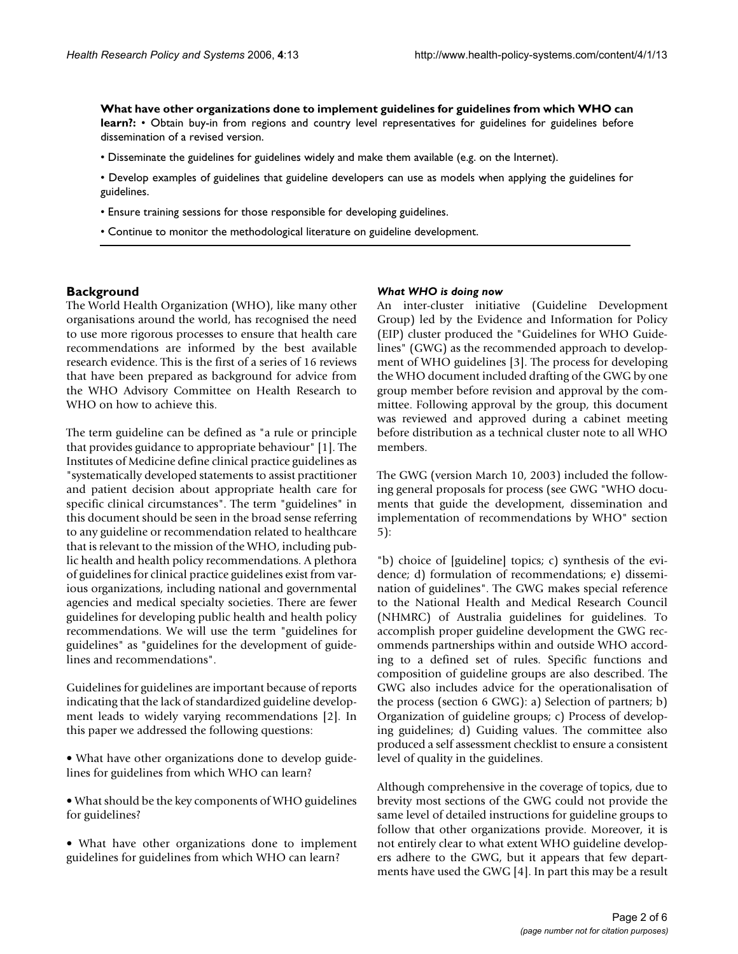**What have other organizations done to implement guidelines for guidelines from which WHO can learn?:** • Obtain buy-in from regions and country level representatives for guidelines for guidelines before dissemination of a revised version.

- Disseminate the guidelines for guidelines widely and make them available (e.g. on the Internet).
- Develop examples of guidelines that guideline developers can use as models when applying the guidelines for guidelines.
- Ensure training sessions for those responsible for developing guidelines.
- Continue to monitor the methodological literature on guideline development.

#### **Background**

The World Health Organization (WHO), like many other organisations around the world, has recognised the need to use more rigorous processes to ensure that health care recommendations are informed by the best available research evidence. This is the first of a series of 16 reviews that have been prepared as background for advice from the WHO Advisory Committee on Health Research to WHO on how to achieve this.

The term guideline can be defined as "a rule or principle that provides guidance to appropriate behaviour" [1]. The Institutes of Medicine define clinical practice guidelines as "systematically developed statements to assist practitioner and patient decision about appropriate health care for specific clinical circumstances". The term "guidelines" in this document should be seen in the broad sense referring to any guideline or recommendation related to healthcare that is relevant to the mission of the WHO, including public health and health policy recommendations. A plethora of guidelines for clinical practice guidelines exist from various organizations, including national and governmental agencies and medical specialty societies. There are fewer guidelines for developing public health and health policy recommendations. We will use the term "guidelines for guidelines" as "guidelines for the development of guidelines and recommendations".

Guidelines for guidelines are important because of reports indicating that the lack of standardized guideline development leads to widely varying recommendations [2]. In this paper we addressed the following questions:

• What have other organizations done to develop guidelines for guidelines from which WHO can learn?

- What should be the key components of WHO guidelines for guidelines?
- What have other organizations done to implement guidelines for guidelines from which WHO can learn?

#### *What WHO is doing now*

An inter-cluster initiative (Guideline Development Group) led by the Evidence and Information for Policy (EIP) cluster produced the "Guidelines for WHO Guidelines" (GWG) as the recommended approach to development of WHO guidelines [3]. The process for developing the WHO document included drafting of the GWG by one group member before revision and approval by the committee. Following approval by the group, this document was reviewed and approved during a cabinet meeting before distribution as a technical cluster note to all WHO members.

The GWG (version March 10, 2003) included the following general proposals for process (see GWG "WHO documents that guide the development, dissemination and implementation of recommendations by WHO" section 5):

"b) choice of [guideline] topics; c) synthesis of the evidence; d) formulation of recommendations; e) dissemination of guidelines". The GWG makes special reference to the National Health and Medical Research Council (NHMRC) of Australia guidelines for guidelines. To accomplish proper guideline development the GWG recommends partnerships within and outside WHO according to a defined set of rules. Specific functions and composition of guideline groups are also described. The GWG also includes advice for the operationalisation of the process (section 6 GWG): a) Selection of partners; b) Organization of guideline groups; c) Process of developing guidelines; d) Guiding values. The committee also produced a self assessment checklist to ensure a consistent level of quality in the guidelines.

Although comprehensive in the coverage of topics, due to brevity most sections of the GWG could not provide the same level of detailed instructions for guideline groups to follow that other organizations provide. Moreover, it is not entirely clear to what extent WHO guideline developers adhere to the GWG, but it appears that few departments have used the GWG [4]. In part this may be a result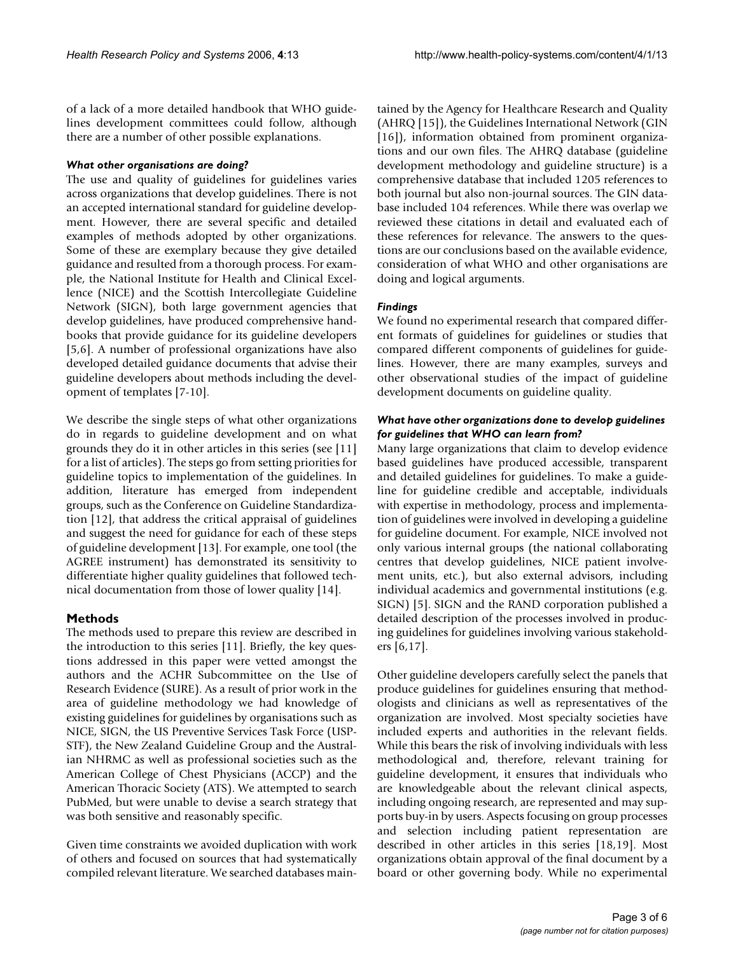of a lack of a more detailed handbook that WHO guidelines development committees could follow, although there are a number of other possible explanations.

#### *What other organisations are doing?*

The use and quality of guidelines for guidelines varies across organizations that develop guidelines. There is not an accepted international standard for guideline development. However, there are several specific and detailed examples of methods adopted by other organizations. Some of these are exemplary because they give detailed guidance and resulted from a thorough process. For example, the National Institute for Health and Clinical Excellence (NICE) and the Scottish Intercollegiate Guideline Network (SIGN), both large government agencies that develop guidelines, have produced comprehensive handbooks that provide guidance for its guideline developers [5,6]. A number of professional organizations have also developed detailed guidance documents that advise their guideline developers about methods including the development of templates [7-10].

We describe the single steps of what other organizations do in regards to guideline development and on what grounds they do it in other articles in this series (see [11] for a list of articles). The steps go from setting priorities for guideline topics to implementation of the guidelines. In addition, literature has emerged from independent groups, such as the Conference on Guideline Standardization [12], that address the critical appraisal of guidelines and suggest the need for guidance for each of these steps of guideline development [13]. For example, one tool (the AGREE instrument) has demonstrated its sensitivity to differentiate higher quality guidelines that followed technical documentation from those of lower quality [14].

#### **Methods**

The methods used to prepare this review are described in the introduction to this series [11]. Briefly, the key questions addressed in this paper were vetted amongst the authors and the ACHR Subcommittee on the Use of Research Evidence (SURE). As a result of prior work in the area of guideline methodology we had knowledge of existing guidelines for guidelines by organisations such as NICE, SIGN, the US Preventive Services Task Force (USP-STF), the New Zealand Guideline Group and the Australian NHRMC as well as professional societies such as the American College of Chest Physicians (ACCP) and the American Thoracic Society (ATS). We attempted to search PubMed, but were unable to devise a search strategy that was both sensitive and reasonably specific.

Given time constraints we avoided duplication with work of others and focused on sources that had systematically compiled relevant literature. We searched databases maintained by the Agency for Healthcare Research and Quality (AHRQ [15]), the Guidelines International Network (GIN [16]), information obtained from prominent organizations and our own files. The AHRQ database (guideline development methodology and guideline structure) is a comprehensive database that included 1205 references to both journal but also non-journal sources. The GIN database included 104 references. While there was overlap we reviewed these citations in detail and evaluated each of these references for relevance. The answers to the questions are our conclusions based on the available evidence, consideration of what WHO and other organisations are doing and logical arguments.

#### *Findings*

We found no experimental research that compared different formats of guidelines for guidelines or studies that compared different components of guidelines for guidelines. However, there are many examples, surveys and other observational studies of the impact of guideline development documents on guideline quality.

#### *What have other organizations done to develop guidelines for guidelines that WHO can learn from?*

Many large organizations that claim to develop evidence based guidelines have produced accessible, transparent and detailed guidelines for guidelines. To make a guideline for guideline credible and acceptable, individuals with expertise in methodology, process and implementation of guidelines were involved in developing a guideline for guideline document. For example, NICE involved not only various internal groups (the national collaborating centres that develop guidelines, NICE patient involvement units, etc.), but also external advisors, including individual academics and governmental institutions (e.g. SIGN) [5]. SIGN and the RAND corporation published a detailed description of the processes involved in producing guidelines for guidelines involving various stakeholders [6,17].

Other guideline developers carefully select the panels that produce guidelines for guidelines ensuring that methodologists and clinicians as well as representatives of the organization are involved. Most specialty societies have included experts and authorities in the relevant fields. While this bears the risk of involving individuals with less methodological and, therefore, relevant training for guideline development, it ensures that individuals who are knowledgeable about the relevant clinical aspects, including ongoing research, are represented and may supports buy-in by users. Aspects focusing on group processes and selection including patient representation are described in other articles in this series [18,19]. Most organizations obtain approval of the final document by a board or other governing body. While no experimental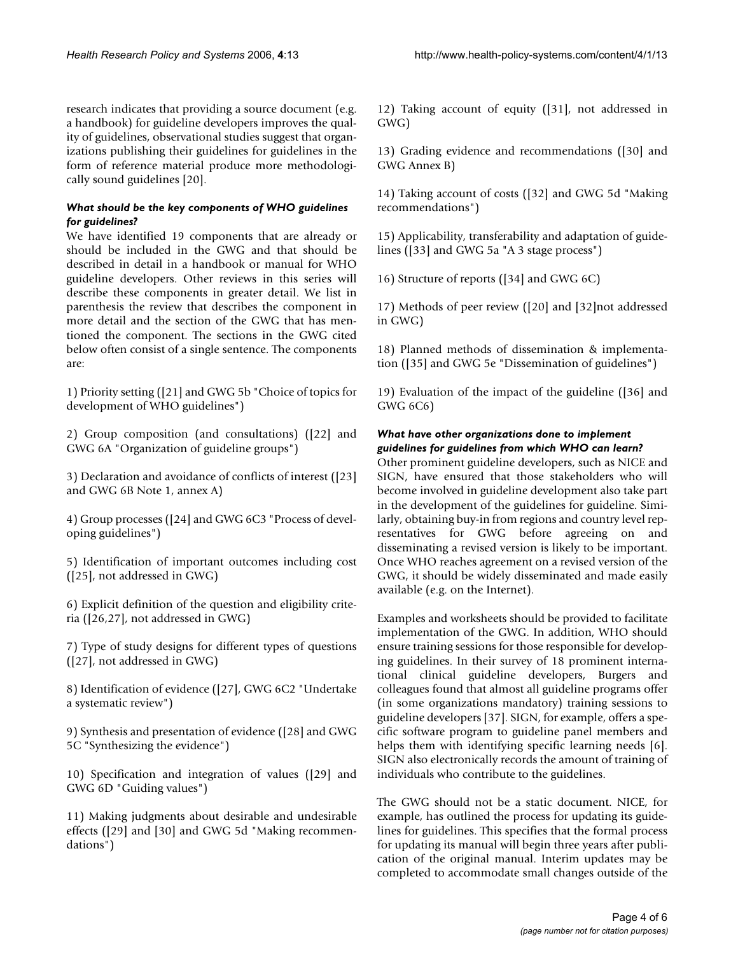research indicates that providing a source document (e.g. a handbook) for guideline developers improves the quality of guidelines, observational studies suggest that organizations publishing their guidelines for guidelines in the form of reference material produce more methodologically sound guidelines [20].

#### *What should be the key components of WHO guidelines for guidelines?*

We have identified 19 components that are already or should be included in the GWG and that should be described in detail in a handbook or manual for WHO guideline developers. Other reviews in this series will describe these components in greater detail. We list in parenthesis the review that describes the component in more detail and the section of the GWG that has mentioned the component. The sections in the GWG cited below often consist of a single sentence. The components are:

1) Priority setting ([21] and GWG 5b "Choice of topics for development of WHO guidelines")

2) Group composition (and consultations) ([22] and GWG 6A "Organization of guideline groups")

3) Declaration and avoidance of conflicts of interest ([23] and GWG 6B Note 1, annex A)

4) Group processes ([24] and GWG 6C3 "Process of developing guidelines")

5) Identification of important outcomes including cost ([25], not addressed in GWG)

6) Explicit definition of the question and eligibility criteria ([26,27], not addressed in GWG)

7) Type of study designs for different types of questions ([27], not addressed in GWG)

8) Identification of evidence ([27], GWG 6C2 "Undertake a systematic review")

9) Synthesis and presentation of evidence ([28] and GWG 5C "Synthesizing the evidence")

10) Specification and integration of values ([29] and GWG 6D "Guiding values")

11) Making judgments about desirable and undesirable effects ([29] and [30] and GWG 5d "Making recommendations")

12) Taking account of equity ([31], not addressed in GWG)

13) Grading evidence and recommendations ([30] and GWG Annex B)

14) Taking account of costs ([32] and GWG 5d "Making recommendations")

15) Applicability, transferability and adaptation of guidelines ([33] and GWG 5a "A 3 stage process")

16) Structure of reports ([34] and GWG 6C)

17) Methods of peer review ([20] and [32]not addressed in GWG)

18) Planned methods of dissemination & implementation ([35] and GWG 5e "Dissemination of guidelines")

19) Evaluation of the impact of the guideline ([36] and GWG 6C6)

#### *What have other organizations done to implement guidelines for guidelines from which WHO can learn?*

Other prominent guideline developers, such as NICE and SIGN, have ensured that those stakeholders who will become involved in guideline development also take part in the development of the guidelines for guideline. Similarly, obtaining buy-in from regions and country level representatives for GWG before agreeing on and disseminating a revised version is likely to be important. Once WHO reaches agreement on a revised version of the GWG, it should be widely disseminated and made easily available (e.g. on the Internet).

Examples and worksheets should be provided to facilitate implementation of the GWG. In addition, WHO should ensure training sessions for those responsible for developing guidelines. In their survey of 18 prominent international clinical guideline developers, Burgers and colleagues found that almost all guideline programs offer (in some organizations mandatory) training sessions to guideline developers [37]. SIGN, for example, offers a specific software program to guideline panel members and helps them with identifying specific learning needs [6]. SIGN also electronically records the amount of training of individuals who contribute to the guidelines.

The GWG should not be a static document. NICE, for example, has outlined the process for updating its guidelines for guidelines. This specifies that the formal process for updating its manual will begin three years after publication of the original manual. Interim updates may be completed to accommodate small changes outside of the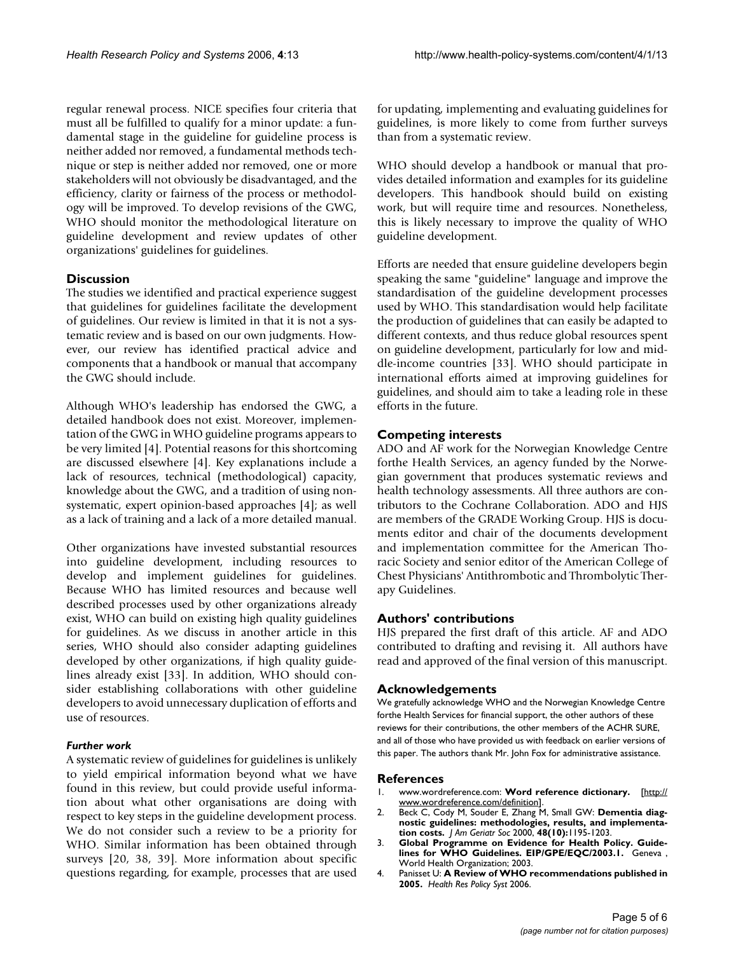regular renewal process. NICE specifies four criteria that must all be fulfilled to qualify for a minor update: a fundamental stage in the guideline for guideline process is neither added nor removed, a fundamental methods technique or step is neither added nor removed, one or more stakeholders will not obviously be disadvantaged, and the efficiency, clarity or fairness of the process or methodology will be improved. To develop revisions of the GWG, WHO should monitor the methodological literature on guideline development and review updates of other organizations' guidelines for guidelines.

### **Discussion**

The studies we identified and practical experience suggest that guidelines for guidelines facilitate the development of guidelines. Our review is limited in that it is not a systematic review and is based on our own judgments. However, our review has identified practical advice and components that a handbook or manual that accompany the GWG should include.

Although WHO's leadership has endorsed the GWG, a detailed handbook does not exist. Moreover, implementation of the GWG in WHO guideline programs appears to be very limited [4]. Potential reasons for this shortcoming are discussed elsewhere [4]. Key explanations include a lack of resources, technical (methodological) capacity, knowledge about the GWG, and a tradition of using nonsystematic, expert opinion-based approaches [4]; as well as a lack of training and a lack of a more detailed manual.

Other organizations have invested substantial resources into guideline development, including resources to develop and implement guidelines for guidelines. Because WHO has limited resources and because well described processes used by other organizations already exist, WHO can build on existing high quality guidelines for guidelines. As we discuss in another article in this series, WHO should also consider adapting guidelines developed by other organizations, if high quality guidelines already exist [33]. In addition, WHO should consider establishing collaborations with other guideline developers to avoid unnecessary duplication of efforts and use of resources.

#### *Further work*

A systematic review of guidelines for guidelines is unlikely to yield empirical information beyond what we have found in this review, but could provide useful information about what other organisations are doing with respect to key steps in the guideline development process. We do not consider such a review to be a priority for WHO. Similar information has been obtained through surveys [20, 38, 39]. More information about specific questions regarding, for example, processes that are used for updating, implementing and evaluating guidelines for guidelines, is more likely to come from further surveys than from a systematic review.

WHO should develop a handbook or manual that provides detailed information and examples for its guideline developers. This handbook should build on existing work, but will require time and resources. Nonetheless, this is likely necessary to improve the quality of WHO guideline development.

Efforts are needed that ensure guideline developers begin speaking the same "guideline" language and improve the standardisation of the guideline development processes used by WHO. This standardisation would help facilitate the production of guidelines that can easily be adapted to different contexts, and thus reduce global resources spent on guideline development, particularly for low and middle-income countries [33]. WHO should participate in international efforts aimed at improving guidelines for guidelines, and should aim to take a leading role in these efforts in the future.

#### **Competing interests**

ADO and AF work for the Norwegian Knowledge Centre forthe Health Services, an agency funded by the Norwegian government that produces systematic reviews and health technology assessments. All three authors are contributors to the Cochrane Collaboration. ADO and HJS are members of the GRADE Working Group. HJS is documents editor and chair of the documents development and implementation committee for the American Thoracic Society and senior editor of the American College of Chest Physicians' Antithrombotic and Thrombolytic Therapy Guidelines.

#### **Authors' contributions**

HJS prepared the first draft of this article. AF and ADO contributed to drafting and revising it. All authors have read and approved of the final version of this manuscript.

#### **Acknowledgements**

We gratefully acknowledge WHO and the Norwegian Knowledge Centre forthe Health Services for financial support, the other authors of these reviews for their contributions, the other members of the ACHR SURE, and all of those who have provided us with feedback on earlier versions of this paper. The authors thank Mr. John Fox for administrative assistance.

#### **References**

- 1. www.wordreference.com: **Word reference dictionary.** [\[http://](http://www.wordreference.com/definition) [www.wordreference.com/definition\]](http://www.wordreference.com/definition).
- 2. Beck C, Cody M, Souder E, Zhang M, Small GW: **[Dementia diag](http://www.ncbi.nlm.nih.gov/entrez/query.fcgi?cmd=Retrieve&db=PubMed&dopt=Abstract&list_uids=11037004)[nostic guidelines: methodologies, results, and implementa](http://www.ncbi.nlm.nih.gov/entrez/query.fcgi?cmd=Retrieve&db=PubMed&dopt=Abstract&list_uids=11037004)[tion costs.](http://www.ncbi.nlm.nih.gov/entrez/query.fcgi?cmd=Retrieve&db=PubMed&dopt=Abstract&list_uids=11037004)** *J Am Geriatr Soc* 2000, **48(10):**1195-1203.
- 3. **Global Programme on Evidence for Health Policy. Guidelines for WHO Guidelines. EIP/GPE/EQC/2003.1.** Geneva , World Health Organization; 2003.
- 4. Panisset U: **A Review of WHO recommendations published in 2005.** *Health Res Policy Syst* 2006.